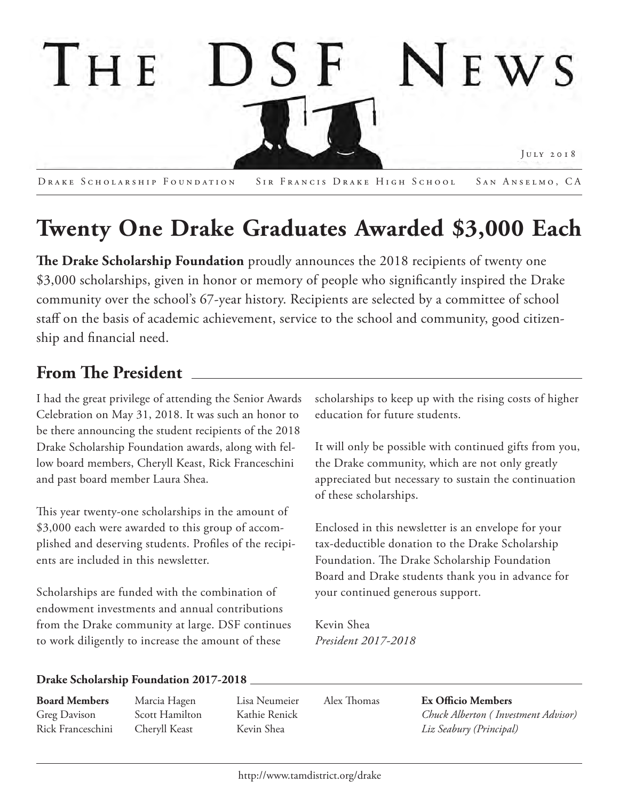

DRAKE SCHOLARSHIP FOUNDATION SIR FRANCIS DRAKE HIGH SCHOOL SAN ANSELMO, CA

# **Twenty One Drake Graduates Awarded \$3,000 Each**

**The Drake Scholarship Foundation** proudly announces the 2018 recipients of twenty one \$3,000 scholarships, given in honor or memory of people who significantly inspired the Drake community over the school's 67-year history. Recipients are selected by a committee of school staff on the basis of academic achievement, service to the school and community, good citizenship and financial need.

# **From !e President**

I had the great privilege of attending the Senior Awards Celebration on May 31, 2018. It was such an honor to be there announcing the student recipients of the 2018 Drake Scholarship Foundation awards, along with fellow board members, Cheryll Keast, Rick Franceschini and past board member Laura Shea.

This year twenty-one scholarships in the amount of \$3,000 each were awarded to this group of accomplished and deserving students. Profiles of the recipients are included in this newsletter.

Scholarships are funded with the combination of endowment investments and annual contributions from the Drake community at large. DSF continues to work diligently to increase the amount of these

scholarships to keep up with the rising costs of higher education for future students.

It will only be possible with continued gifts from you, the Drake community, which are not only greatly appreciated but necessary to sustain the continuation of these scholarships.

Enclosed in this newsletter is an envelope for your tax-deductible donation to the Drake Scholarship Foundation. The Drake Scholarship Foundation Board and Drake students thank you in advance for your continued generous support.

Kevin Shea *President 2017-2018* 

# **Drake Scholarship Foundation 2017-2018**

**Board Members** Greg Davison Rick Franceschini Marcia Hagen Scott Hamilton Cheryll Keast

Lisa Neumeier Kathie Renick Kevin Shea

Alex Thomas

**Ex Officio Members**  *Chuck Alberton ( Investment Advisor) Liz Seabury (Principal)*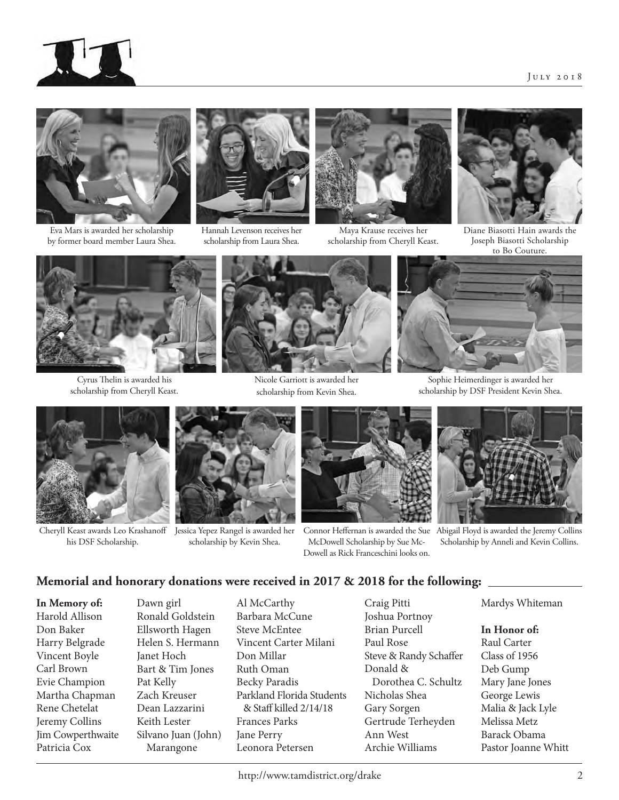



Eva Mars is awarded her scholarship by former board member Laura Shea.



Hannah Levenson receives her scholarship from Laura Shea.



Maya Krause receives her scholarship from Cheryll Keast.



Diane Biasotti Hain awards the Joseph Biasotti Scholarship to Bo Couture.



Cyrus Thelin is awarded his scholarship from Cheryll Keast.



Nicole Garriott is awarded her scholarship from Kevin Shea.



Sophie Heimerdinger is awarded her scholarship by DSF President Kevin Shea.



Cheryll Keast awards Leo Krashanoff his DSF Scholarship.



Jessica Yepez Rangel is awarded her scholarship by Kevin Shea.



Connor Heffernan is awarded the Sue McDowell Scholarship by Sue Mc-Dowell as Rick Franceschini looks on.



Abigail Floyd is awarded the Jeremy Collins Scholarship by Anneli and Kevin Collins.

# **Memorial and honorary donations were received in 2017 & 2018 for the following:**

**In Memory of:** Harold Allison Don Baker Harry Belgrade Vincent Boyle Carl Brown Evie Champion Martha Chapman Rene Chetelat Jeremy Collins Jim Cowperthwaite Patricia Cox

Ronald Goldstein Ellsworth Hagen Helen S. Hermann Janet Hoch Bart & Tim Jones Pat Kelly Zach Kreuser Dean Lazzarini Keith Lester Silvano Juan (John) Marangone

Dawn girl

Al McCarthy Barbara McCune Steve McEntee Vincent Carter Milani Don Millar Ruth Oman Becky Paradis Parkland Florida Students & Staff killed 2/14/18 Frances Parks Jane Perry Leonora Petersen

Craig Pitti Joshua Portnoy Brian Purcell Paul Rose Steve & Randy Schaffer Donald & Dorothea C. Schultz Nicholas Shea Gary Sorgen Gertrude Terheyden Ann West Archie Williams

Mardys Whiteman

#### **In Honor of:**

Raul Carter Class of 1956 Deb Gump Mary Jane Jones George Lewis Malia & Jack Lyle Melissa Metz Barack Obama Pastor Joanne Whitt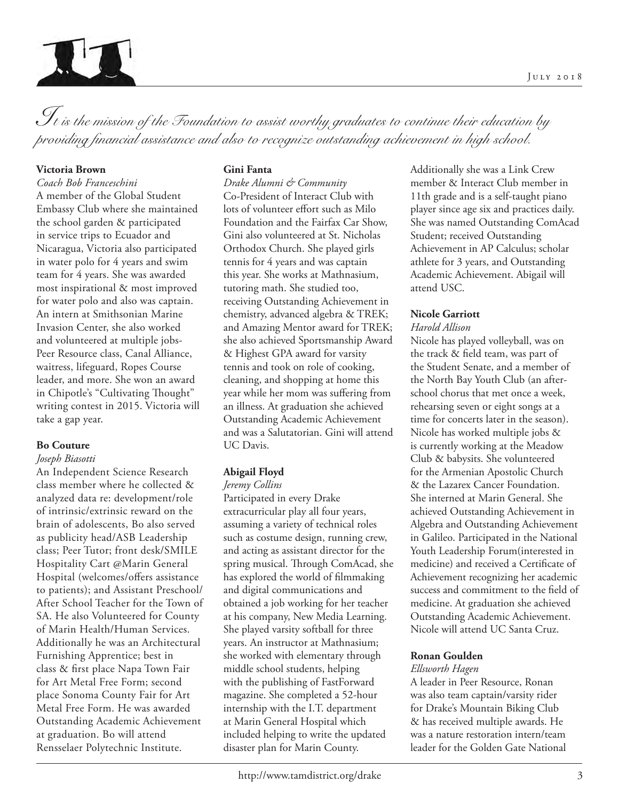

*It is the mission of the Foundation to assist worthy graduates to continue their education by providing financial assistance and also to recognize outstanding achievement in high school.*

### **Victoria Brown**

*Coach Bob Franceschini*  A member of the Global Student Embassy Club where she maintained the school garden & participated in service trips to Ecuador and Nicaragua, Victoria also participated in water polo for 4 years and swim team for 4 years. She was awarded most inspirational & most improved for water polo and also was captain. An intern at Smithsonian Marine Invasion Center, she also worked and volunteered at multiple jobs-Peer Resource class, Canal Alliance, waitress, lifeguard, Ropes Course leader, and more. She won an award in Chipotle's "Cultivating Thought" writing contest in 2015. Victoria will take a gap year.

#### **Bo Couture**

#### *Joseph Biasotti*

An Independent Science Research class member where he collected & analyzed data re: development/role of intrinsic/extrinsic reward on the brain of adolescents, Bo also served as publicity head/ASB Leadership class; Peer Tutor; front desk/SMILE Hospitality Cart @Marin General Hospital (welcomes/offers assistance to patients); and Assistant Preschool/ After School Teacher for the Town of SA. He also Volunteered for County of Marin Health/Human Services. Additionally he was an Architectural Furnishing Apprentice; best in class & first place Napa Town Fair for Art Metal Free Form; second place Sonoma County Fair for Art Metal Free Form. He was awarded Outstanding Academic Achievement at graduation. Bo will attend Rensselaer Polytechnic Institute.

#### **Gini Fanta**

*Drake Alumni & Community* Co-President of Interact Club with lots of volunteer effort such as Milo Foundation and the Fairfax Car Show, Gini also volunteered at St. Nicholas Orthodox Church. She played girls tennis for 4 years and was captain this year. She works at Mathnasium, tutoring math. She studied too, receiving Outstanding Achievement in chemistry, advanced algebra & TREK; and Amazing Mentor award for TREK; she also achieved Sportsmanship Award & Highest GPA award for varsity tennis and took on role of cooking, cleaning, and shopping at home this year while her mom was suffering from an illness. At graduation she achieved Outstanding Academic Achievement and was a Salutatorian. Gini will attend UC Davis.

# **Abigail Floyd**

*Jeremy Collins*

Participated in every Drake extracurricular play all four years, assuming a variety of technical roles such as costume design, running crew, and acting as assistant director for the spring musical. Through ComAcad, she has explored the world of filmmaking and digital communications and obtained a job working for her teacher at his company, New Media Learning. She played varsity softball for three years. An instructor at Mathnasium; she worked with elementary through middle school students, helping with the publishing of FastForward magazine. She completed a 52-hour internship with the I.T. department at Marin General Hospital which included helping to write the updated disaster plan for Marin County.

Additionally she was a Link Crew member & Interact Club member in 11th grade and is a self-taught piano player since age six and practices daily. She was named Outstanding ComAcad Student; received Outstanding Achievement in AP Calculus; scholar athlete for 3 years, and Outstanding Academic Achievement. Abigail will attend USC.

# **Nicole Garriott**

# *Harold Allison*

Nicole has played volleyball, was on the track & field team, was part of the Student Senate, and a member of the North Bay Youth Club (an afterschool chorus that met once a week, rehearsing seven or eight songs at a time for concerts later in the season). Nicole has worked multiple jobs & is currently working at the Meadow Club & babysits. She volunteered for the Armenian Apostolic Church & the Lazarex Cancer Foundation. She interned at Marin General. She achieved Outstanding Achievement in Algebra and Outstanding Achievement in Galileo. Participated in the National Youth Leadership Forum(interested in medicine) and received a Certificate of Achievement recognizing her academic success and commitment to the field of medicine. At graduation she achieved Outstanding Academic Achievement. Nicole will attend UC Santa Cruz.

#### **Ronan Goulden**

#### *Ellsworth Hagen*

A leader in Peer Resource, Ronan was also team captain/varsity rider for Drake's Mountain Biking Club & has received multiple awards. He was a nature restoration intern/team leader for the Golden Gate National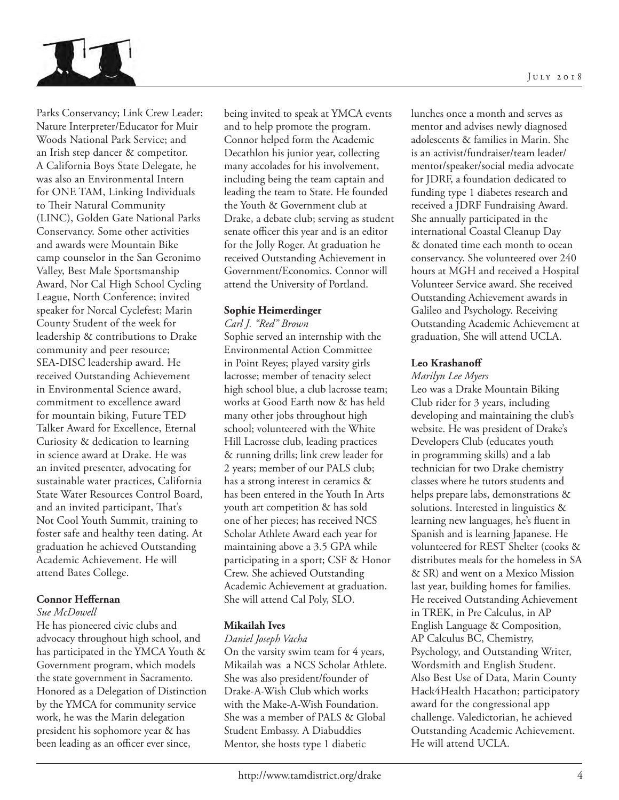

Parks Conservancy; Link Crew Leader; Nature Interpreter/Educator for Muir Woods National Park Service; and an Irish step dancer & competitor. A California Boys State Delegate, he was also an Environmental Intern for ONE TAM, Linking Individuals to Their Natural Community (LINC), Golden Gate National Parks Conservancy. Some other activities and awards were Mountain Bike camp counselor in the San Geronimo Valley, Best Male Sportsmanship Award, Nor Cal High School Cycling League, North Conference; invited speaker for Norcal Cyclefest; Marin County Student of the week for leadership & contributions to Drake community and peer resource; SEA-DISC leadership award. He received Outstanding Achievement in Environmental Science award, commitment to excellence award for mountain biking, Future TED Talker Award for Excellence, Eternal Curiosity & dedication to learning in science award at Drake. He was an invited presenter, advocating for sustainable water practices, California State Water Resources Control Board, and an invited participant, That's Not Cool Youth Summit, training to foster safe and healthy teen dating. At graduation he achieved Outstanding Academic Achievement. He will attend Bates College.

# **Connor Heffernan**

#### *Sue McDowell*

He has pioneered civic clubs and advocacy throughout high school, and has participated in the YMCA Youth & Government program, which models the state government in Sacramento. Honored as a Delegation of Distinction by the YMCA for community service work, he was the Marin delegation president his sophomore year & has been leading as an officer ever since,

being invited to speak at YMCA events and to help promote the program. Connor helped form the Academic Decathlon his junior year, collecting many accolades for his involvement, including being the team captain and leading the team to State. He founded the Youth & Government club at Drake, a debate club; serving as student senate officer this year and is an editor for the Jolly Roger. At graduation he received Outstanding Achievement in Government/Economics. Connor will attend the University of Portland.

#### **Sophie Heimerdinger**

#### *Carl J. "Red" Brown*

Sophie served an internship with the Environmental Action Committee in Point Reyes; played varsity girls lacrosse; member of tenacity select high school blue, a club lacrosse team; works at Good Earth now & has held many other jobs throughout high school; volunteered with the White Hill Lacrosse club, leading practices & running drills; link crew leader for 2 years; member of our PALS club; has a strong interest in ceramics & has been entered in the Youth In Arts youth art competition & has sold one of her pieces; has received NCS Scholar Athlete Award each year for maintaining above a 3.5 GPA while participating in a sport; CSF & Honor Crew. She achieved Outstanding Academic Achievement at graduation. She will attend Cal Poly, SLO.

#### **Mikailah Ives**

#### *Daniel Joseph Vacha*

On the varsity swim team for 4 years, Mikailah was a NCS Scholar Athlete. She was also president/founder of Drake-A-Wish Club which works with the Make-A-Wish Foundation. She was a member of PALS & Global Student Embassy. A Diabuddies Mentor, she hosts type 1 diabetic

lunches once a month and serves as mentor and advises newly diagnosed adolescents & families in Marin. She is an activist/fundraiser/team leader/ mentor/speaker/social media advocate for JDRF, a foundation dedicated to funding type 1 diabetes research and received a JDRF Fundraising Award. She annually participated in the international Coastal Cleanup Day & donated time each month to ocean conservancy. She volunteered over 240 hours at MGH and received a Hospital Volunteer Service award. She received Outstanding Achievement awards in Galileo and Psychology. Receiving Outstanding Academic Achievement at graduation, She will attend UCLA.

#### **Leo Krashanoff**

#### *Marilyn Lee Myers*

Leo was a Drake Mountain Biking Club rider for 3 years, including developing and maintaining the club's website. He was president of Drake's Developers Club (educates youth in programming skills) and a lab technician for two Drake chemistry classes where he tutors students and helps prepare labs, demonstrations & solutions. Interested in linguistics & learning new languages, he's fluent in Spanish and is learning Japanese. He volunteered for REST Shelter (cooks & distributes meals for the homeless in SA & SR) and went on a Mexico Mission last year, building homes for families. He received Outstanding Achievement in TREK, in Pre Calculus, in AP English Language & Composition, AP Calculus BC, Chemistry, Psychology, and Outstanding Writer, Wordsmith and English Student. Also Best Use of Data, Marin County Hack4Health Hacathon; participatory award for the congressional app challenge. Valedictorian, he achieved Outstanding Academic Achievement. He will attend UCLA.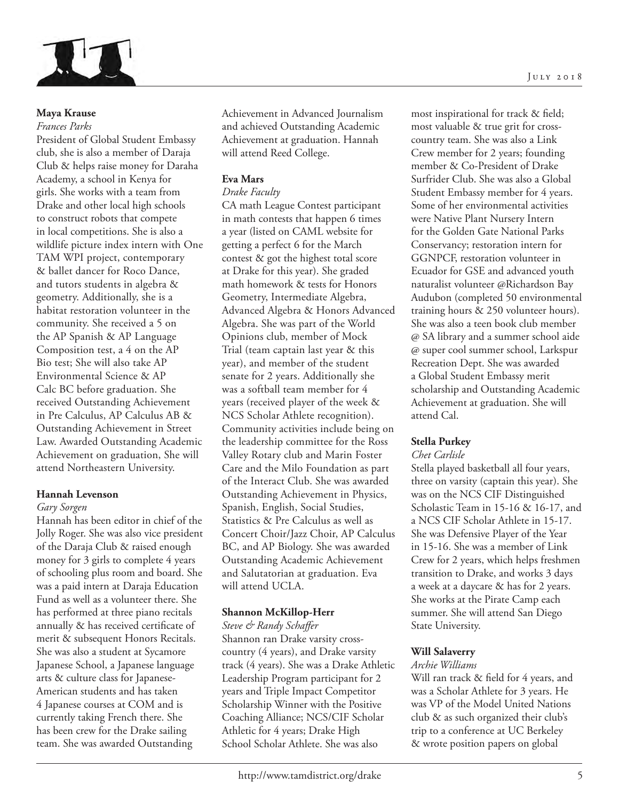

## **Maya Krause**

#### *Frances Parks*

President of Global Student Embassy club, she is also a member of Daraja Club & helps raise money for Daraha Academy, a school in Kenya for girls. She works with a team from Drake and other local high schools to construct robots that compete in local competitions. She is also a wildlife picture index intern with One TAM WPI project, contemporary & ballet dancer for Roco Dance, and tutors students in algebra & geometry. Additionally, she is a habitat restoration volunteer in the community. She received a 5 on the AP Spanish & AP Language Composition test, a 4 on the AP Bio test; She will also take AP Environmental Science & AP Calc BC before graduation. She received Outstanding Achievement in Pre Calculus, AP Calculus AB & Outstanding Achievement in Street Law. Awarded Outstanding Academic Achievement on graduation, She will attend Northeastern University.

#### **Hannah Levenson**

#### *Gary Sorgen*

Hannah has been editor in chief of the Jolly Roger. She was also vice president of the Daraja Club & raised enough money for 3 girls to complete 4 years of schooling plus room and board. She was a paid intern at Daraja Education Fund as well as a volunteer there. She has performed at three piano recitals annually & has received certificate of merit & subsequent Honors Recitals. She was also a student at Sycamore Japanese School, a Japanese language arts & culture class for Japanese-American students and has taken 4 Japanese courses at COM and is currently taking French there. She has been crew for the Drake sailing team. She was awarded Outstanding

Achievement in Advanced Journalism and achieved Outstanding Academic Achievement at graduation. Hannah will attend Reed College.

# **Eva Mars**

# *Drake Faculty*

CA math League Contest participant in math contests that happen 6 times a year (listed on CAML website for getting a perfect 6 for the March contest & got the highest total score at Drake for this year). She graded math homework & tests for Honors Geometry, Intermediate Algebra, Advanced Algebra & Honors Advanced Algebra. She was part of the World Opinions club, member of Mock Trial (team captain last year & this year), and member of the student senate for 2 years. Additionally she was a softball team member for 4 years (received player of the week & NCS Scholar Athlete recognition). Community activities include being on the leadership committee for the Ross Valley Rotary club and Marin Foster Care and the Milo Foundation as part of the Interact Club. She was awarded Outstanding Achievement in Physics, Spanish, English, Social Studies, Statistics & Pre Calculus as well as Concert Choir/Jazz Choir, AP Calculus BC, and AP Biology. She was awarded Outstanding Academic Achievement and Salutatorian at graduation. Eva will attend UCLA.

# **Shannon McKillop-Herr**

*Steve & Randy Schaffer* Shannon ran Drake varsity crosscountry (4 years), and Drake varsity track (4 years). She was a Drake Athletic Leadership Program participant for 2 years and Triple Impact Competitor Scholarship Winner with the Positive Coaching Alliance; NCS/CIF Scholar Athletic for 4 years; Drake High School Scholar Athlete. She was also

most inspirational for track & field; most valuable & true grit for crosscountry team. She was also a Link Crew member for 2 years; founding member & Co-President of Drake Surfrider Club. She was also a Global Student Embassy member for 4 years. Some of her environmental activities were Native Plant Nursery Intern for the Golden Gate National Parks Conservancy; restoration intern for GGNPCF, restoration volunteer in Ecuador for GSE and advanced youth naturalist volunteer @Richardson Bay Audubon (completed 50 environmental training hours & 250 volunteer hours). She was also a teen book club member @ SA library and a summer school aide @ super cool summer school, Larkspur Recreation Dept. She was awarded a Global Student Embassy merit scholarship and Outstanding Academic Achievement at graduation. She will attend Cal.

# **Stella Purkey**

#### *Chet Carlisle*

Stella played basketball all four years, three on varsity (captain this year). She was on the NCS CIF Distinguished Scholastic Team in 15-16 & 16-17, and a NCS CIF Scholar Athlete in 15-17. She was Defensive Player of the Year in 15-16. She was a member of Link Crew for 2 years, which helps freshmen transition to Drake, and works 3 days a week at a daycare & has for 2 years. She works at the Pirate Camp each summer. She will attend San Diego State University.

#### **Will Salaverry**

#### *Archie Williams*

Will ran track & field for 4 years, and was a Scholar Athlete for 3 years. He was VP of the Model United Nations club & as such organized their club's trip to a conference at UC Berkeley & wrote position papers on global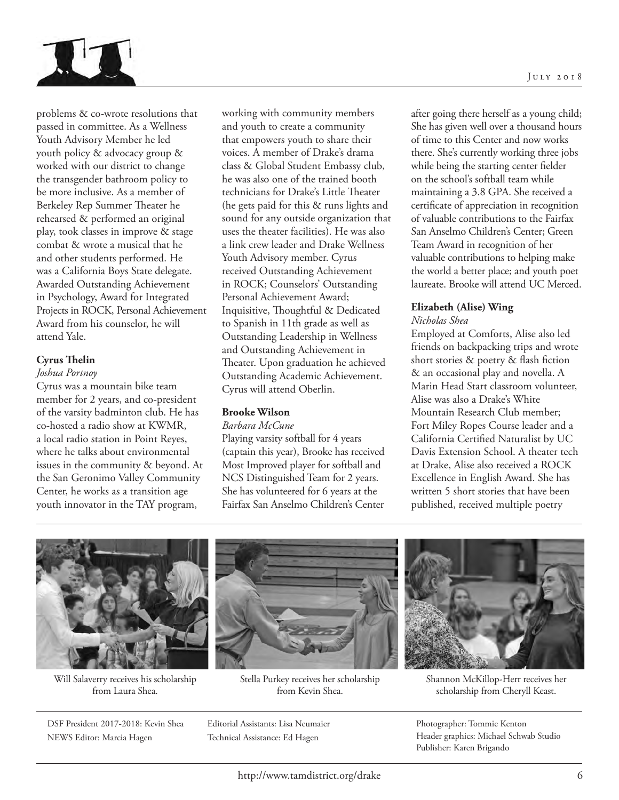

problems & co-wrote resolutions that passed in committee. As a Wellness Youth Advisory Member he led youth policy & advocacy group & worked with our district to change the transgender bathroom policy to be more inclusive. As a member of Berkeley Rep Summer Theater he rehearsed & performed an original play, took classes in improve & stage combat & wrote a musical that he and other students performed. He was a California Boys State delegate. Awarded Outstanding Achievement in Psychology, Award for Integrated Projects in ROCK, Personal Achievement Award from his counselor, he will attend Yale.

# **Cyrus !elin**

#### *Joshua Portnoy*

Cyrus was a mountain bike team member for 2 years, and co-president of the varsity badminton club. He has co-hosted a radio show at KWMR, a local radio station in Point Reyes, where he talks about environmental issues in the community & beyond. At the San Geronimo Valley Community Center, he works as a transition age youth innovator in the TAY program,

working with community members and youth to create a community that empowers youth to share their voices. A member of Drake's drama class & Global Student Embassy club, he was also one of the trained booth technicians for Drake's Little Theater (he gets paid for this & runs lights and sound for any outside organization that uses the theater facilities). He was also a link crew leader and Drake Wellness Youth Advisory member. Cyrus received Outstanding Achievement in ROCK; Counselors' Outstanding Personal Achievement Award; Inquisitive, Thoughtful & Dedicated to Spanish in 11th grade as well as Outstanding Leadership in Wellness and Outstanding Achievement in Theater. Upon graduation he achieved Outstanding Academic Achievement. Cyrus will attend Oberlin.

# **Brooke Wilson**

#### *Barbara McCune*

Playing varsity softball for 4 years (captain this year), Brooke has received Most Improved player for softball and NCS Distinguished Team for 2 years. She has volunteered for 6 years at the Fairfax San Anselmo Children's Center

after going there herself as a young child; She has given well over a thousand hours of time to this Center and now works there. She's currently working three jobs while being the starting center fielder on the school's softball team while maintaining a 3.8 GPA. She received a certificate of appreciation in recognition of valuable contributions to the Fairfax San Anselmo Children's Center; Green Team Award in recognition of her valuable contributions to helping make the world a better place; and youth poet laureate. Brooke will attend UC Merced.

# **Elizabeth (Alise) Wing**

#### *Nicholas Shea*

Employed at Comforts, Alise also led friends on backpacking trips and wrote short stories & poetry & flash fiction & an occasional play and novella. A Marin Head Start classroom volunteer, Alise was also a Drake's White Mountain Research Club member; Fort Miley Ropes Course leader and a California Certified Naturalist by UC Davis Extension School. A theater tech at Drake, Alise also received a ROCK Excellence in English Award. She has written 5 short stories that have been published, received multiple poetry



Will Salaverry receives his scholarship from Laura Shea.

DSF President 2017-2018: Kevin Shea NEWS Editor: Marcia Hagen



Stella Purkey receives her scholarship from Kevin Shea.

Editorial Assistants: Lisa Neumaier Technical Assistance: Ed Hagen



Shannon McKillop-Herr receives her scholarship from Cheryll Keast.

Photographer: Tommie Kenton Header graphics: Michael Schwab Studio Publisher: Karen Brigando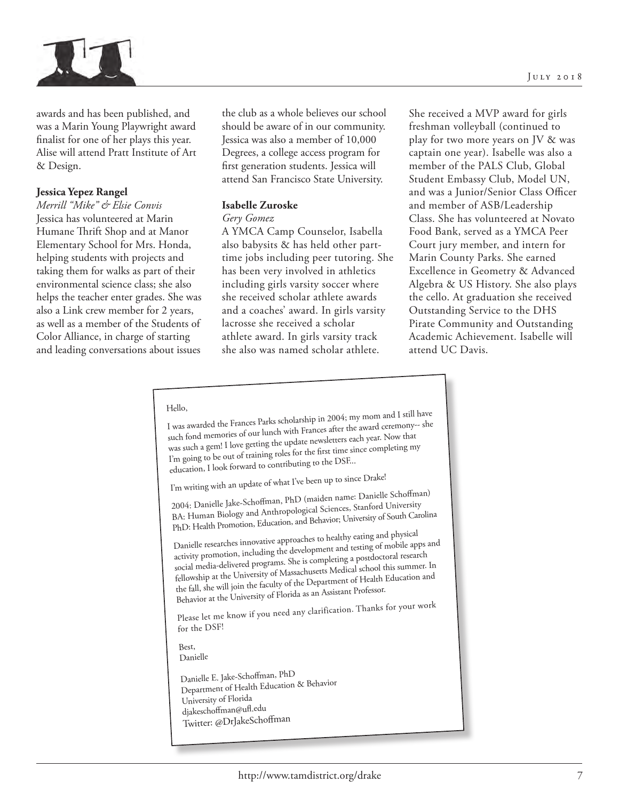



awards and has been published, and was a Marin Young Playwright award finalist for one of her plays this year. Alise will attend Pratt Institute of Art & Design.

# **Jessica Yepez Rangel**

*Merrill "Mike" & Elsie Convis*  Jessica has volunteered at Marin Humane Thrift Shop and at Manor Elementary School for Mrs. Honda, helping students with projects and taking them for walks as part of their environmental science class; she also helps the teacher enter grades. She was also a Link crew member for 2 years, as well as a member of the Students of Color Alliance, in charge of starting and leading conversations about issues

the club as a whole believes our school should be aware of in our community. Jessica was also a member of 10,000 Degrees, a college access program for first generation students. Jessica will attend San Francisco State University.

# **Isabelle Zuroske**

#### *Gery Gomez*

A YMCA Camp Counselor, Isabella also babysits & has held other parttime jobs including peer tutoring. She has been very involved in athletics including girls varsity soccer where she received scholar athlete awards and a coaches' award. In girls varsity lacrosse she received a scholar athlete award. In girls varsity track she also was named scholar athlete.

She received a MVP award for girls freshman volleyball (continued to play for two more years on JV & was captain one year). Isabelle was also a member of the PALS Club, Global Student Embassy Club, Model UN, and was a Junior/Senior Class Officer and member of ASB/Leadership Class. She has volunteered at Novato Food Bank, served as a YMCA Peer Court jury member, and intern for Marin County Parks. She earned Excellence in Geometry & Advanced Algebra & US History. She also plays the cello. At graduation she received Outstanding Service to the DHS Pirate Community and Outstanding Academic Achievement. Isabelle will attend UC Davis.

#### Hello,

I was awarded the Frances Parks scholarship in 2004; my mom and I still have such fond memories of our lunch with Frances after the award ceremony-- she was such a gem! I love getting the update newsletters each year. Now that I'm going to be out of training roles for the first time since completing my education, I look forward to contributing to the DSF...

I'm writing with an update of what I've been up to since Drake!

2004: Danielle Jake-Schoffman, PhD (maiden name: Danielle Schoffman) BA: Human Biology and Anthropological Sciences, Stanford University PhD: Health Promotion, Education, and Behavior; University of South Carolina

Danielle researches innovative approaches to healthy eating and physical activity promotion, including the development and testing of mobile apps an<sup>d</sup> social media-delivered programs. She is completing a postdoctoral research fellowship at the University of Massachusetts Medical school this summer. In the fall, she will join the faculty of the Department of Health Education an<sup>d</sup> Behavior at the University of Florida as an Assistant Professor.

Please let me know if you need any clarification. Thanks for your work for the DSF!

Best, Danielle

Danielle E. Jake-Schoffman, PhD Department of Health Education & Behavior University of Florida djakeschoffman@ufl.edu Twitter: @DrJakeSchoffman